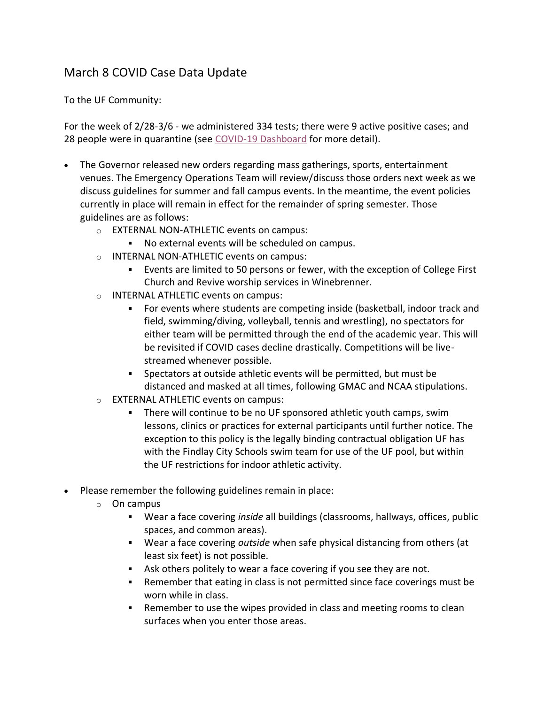## March 8 COVID Case Data Update

To the UF Community:

For the week of 2/28-3/6 - we administered 334 tests; there were 9 active positive cases; and 28 people were in quarantine (see [COVID-19 Dashboard](https://www.findlay.edu/oiler-start-safe-and-stay-safe/covid-dashboard) for more detail).

- The Governor released new orders regarding mass gatherings, sports, entertainment venues. The Emergency Operations Team will review/discuss those orders next week as we discuss guidelines for summer and fall campus events. In the meantime, the event policies currently in place will remain in effect for the remainder of spring semester. Those guidelines are as follows:
	- o EXTERNAL NON-ATHLETIC events on campus:
		- No external events will be scheduled on campus.
	- o INTERNAL NON-ATHLETIC events on campus:
		- Events are limited to 50 persons or fewer, with the exception of College First  $\mathbf{r}$ Church and Revive worship services in Winebrenner.
	- o INTERNAL ATHLETIC events on campus:
		- For events where students are competing inside (basketball, indoor track and field, swimming/diving, volleyball, tennis and wrestling), no spectators for either team will be permitted through the end of the academic year. This will be revisited if COVID cases decline drastically. Competitions will be livestreamed whenever possible.
		- $\mathbf{u}$ Spectators at outside athletic events will be permitted, but must be distanced and masked at all times, following GMAC and NCAA stipulations.
	- o EXTERNAL ATHLETIC events on campus:
		- There will continue to be no UF sponsored athletic youth camps, swim lessons, clinics or practices for external participants until further notice. The exception to this policy is the legally binding contractual obligation UF has with the Findlay City Schools swim team for use of the UF pool, but within the UF restrictions for indoor athletic activity.
- Please remember the following guidelines remain in place:
	- o On campus
		- Wear a face covering *inside* all buildings (classrooms, hallways, offices, public spaces, and common areas).
		- Wear a face covering *outside* when safe physical distancing from others (at least six feet) is not possible.
		- Ask others politely to wear a face covering if you see they are not.
		- Remember that eating in class is not permitted since face coverings must be worn while in class.
		- Remember to use the wipes provided in class and meeting rooms to clean  $\mathbf{m}$  . surfaces when you enter those areas.